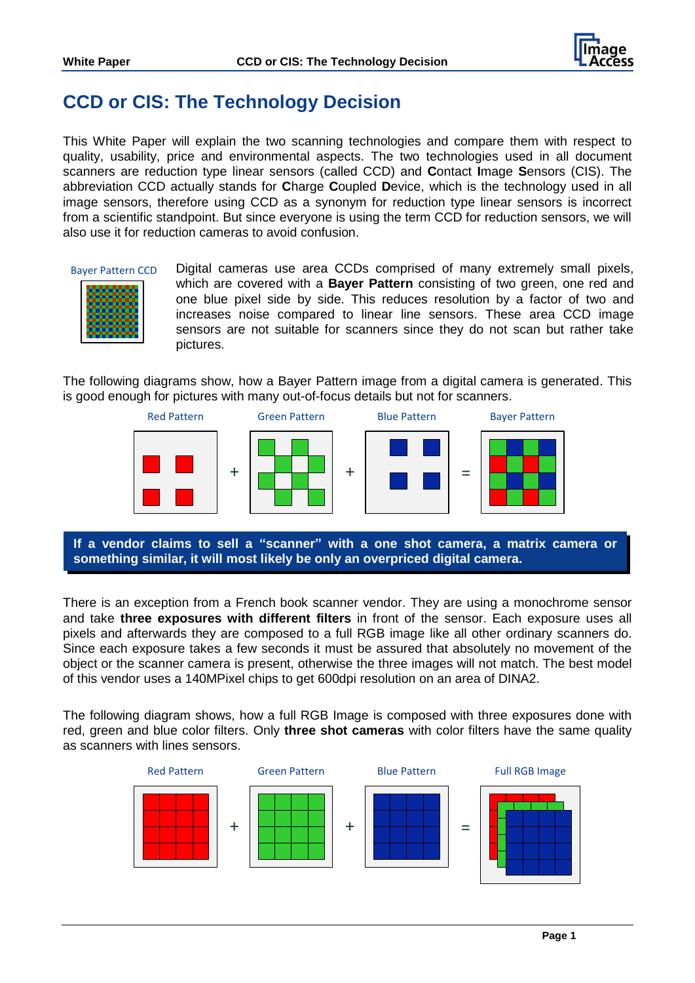

# **CCD or CIS: The Technology Decision**

This White Paper will explain the two scanning technologies and compare them with respect to quality, usability, price and environmental aspects. The two technologies used in all document scanners are reduction type linear sensors (called CCD) and **C**ontact **I**mage **S**ensors (CIS). The abbreviation CCD actually stands for **C**harge **C**oupled **D**evice, which is the technology used in all image sensors, therefore using CCD as a synonym for reduction type linear sensors is incorrect from a scientific standpoint. But since everyone is using the term CCD for reduction sensors, we will also use it for reduction cameras to avoid confusion.

#### Bayer Pattern CCD



Digital cameras use area CCDs comprised of many extremely small pixels, which are covered with a **Bayer Pattern** consisting of two green, one red and one blue pixel side by side. This reduces resolution by a factor of two and increases noise compared to linear line sensors. These area CCD image sensors are not suitable for scanners since they do not scan but rather take pictures.

The following diagrams show, how a Bayer Pattern image from a digital camera is generated. This is good enough for pictures with many out-of-focus details but not for scanners.



**If a vendor claims to sell a "scanner" with a one shot camera, a matrix camera or something similar, it will most likely be only an overpriced digital camera.**

There is an exception from a French book scanner vendor. They are using a monochrome sensor and take **three exposures with different filters** in front of the sensor. Each exposure uses all pixels and afterwards they are composed to a full RGB image like all other ordinary scanners do. Since each exposure takes a few seconds it must be assured that absolutely no movement of the object or the scanner camera is present, otherwise the three images will not match. The best model of this vendor uses a 140MPixel chips to get 600dpi resolution on an area of DINA2.

The following diagram shows, how a full RGB Image is composed with three exposures done with red, green and blue color filters. Only **three shot cameras** with color filters have the same quality as scanners with lines sensors.

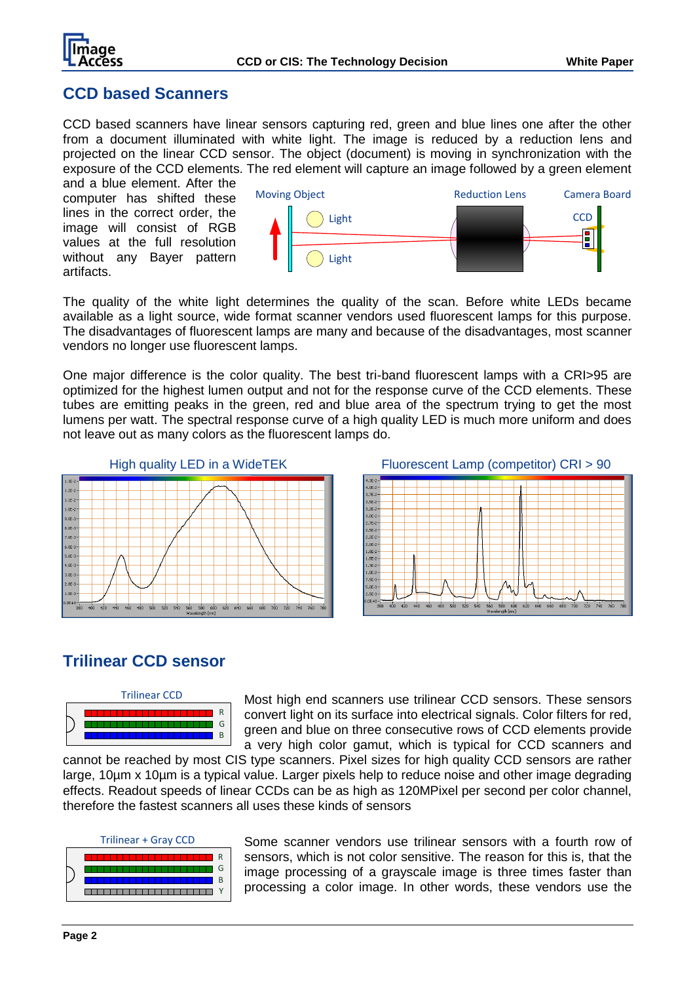

### **CCD based Scanners**

CCD based scanners have linear sensors capturing red, green and blue lines one after the other from a document illuminated with white light. The image is reduced by a reduction lens and projected on the linear CCD sensor. The object (document) is moving in synchronization with the exposure of the CCD elements. The red element will capture an image followed by a green element

and a blue element. After the computer has shifted these lines in the correct order, the image will consist of RGB values at the full resolution without any Bayer pattern artifacts.



The quality of the white light determines the quality of the scan. Before white LEDs became available as a light source, wide format scanner vendors used fluorescent lamps for this purpose. The disadvantages of fluorescent lamps are many and because of the disadvantages, most scanner vendors no longer use fluorescent lamps.

One major difference is the color quality. The best tri-band fluorescent lamps with a CRI>95 are optimized for the highest lumen output and not for the response curve of the CCD elements. These tubes are emitting peaks in the green, red and blue area of the spectrum trying to get the most lumens per watt. The spectral response curve of a high quality LED is much more uniform and does not leave out as many colors as the fluorescent lamps do.



High quality LED in a WideTEK Fluorescent Lamp (competitor) CRI > 90



### **Trilinear CCD sensor**



Most high end scanners use trilinear CCD sensors. These sensors convert light on its surface into electrical signals. Color filters for red, green and blue on three consecutive rows of CCD elements provide a very high color gamut, which is typical for CCD scanners and

cannot be reached by most CIS type scanners. Pixel sizes for high quality CCD sensors are rather large, 10um x 10um is a typical value. Larger pixels help to reduce noise and other image degrading effects. Readout speeds of linear CCDs can be as high as 120MPixel per second per color channel, therefore the fastest scanners all uses these kinds of sensors

Trilinear + Gray CCD



Some scanner vendors use trilinear sensors with a fourth row of sensors, which is not color sensitive. The reason for this is, that the image processing of a grayscale image is three times faster than processing a color image. In other words, these vendors use the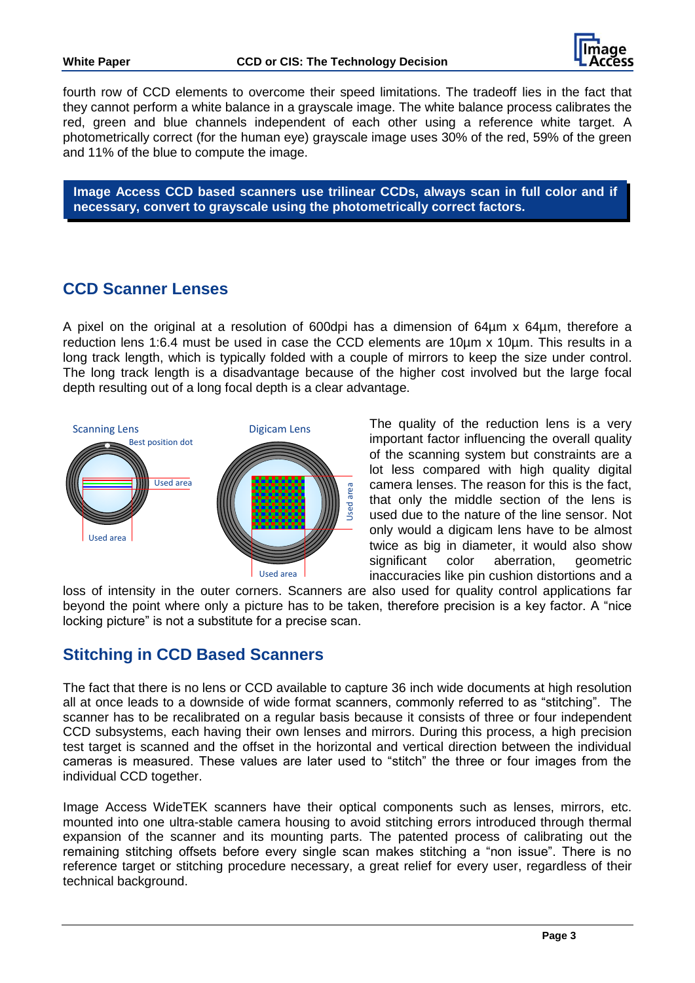

fourth row of CCD elements to overcome their speed limitations. The tradeoff lies in the fact that they cannot perform a white balance in a grayscale image. The white balance process calibrates the red, green and blue channels independent of each other using a reference white target. A photometrically correct (for the human eye) grayscale image uses 30% of the red, 59% of the green and 11% of the blue to compute the image.

**Image Access CCD based scanners use trilinear CCDs, always scan in full color and if necessary, convert to grayscale using the photometrically correct factors.** 

## **CCD Scanner Lenses**

A pixel on the original at a resolution of 600dpi has a dimension of 64µm x 64µm, therefore a reduction lens 1:6.4 must be used in case the CCD elements are 10µm x 10µm. This results in a long track length, which is typically folded with a couple of mirrors to keep the size under control. The long track length is a disadvantage because of the higher cost involved but the large focal depth resulting out of a long focal depth is a clear advantage.



The quality of the reduction lens is a very important factor influencing the overall quality of the scanning system but constraints are a lot less compared with high quality digital camera lenses. The reason for this is the fact, that only the middle section of the lens is used due to the nature of the line sensor. Not only would a digicam lens have to be almost twice as big in diameter, it would also show significant color aberration, geometric inaccuracies like pin cushion distortions and a

loss of intensity in the outer corners. Scanners are also used for quality control applications far beyond the point where only a picture has to be taken, therefore precision is a key factor. A "nice locking picture" is not a substitute for a precise scan.

# **Stitching in CCD Based Scanners**

The fact that there is no lens or CCD available to capture 36 inch wide documents at high resolution all at once leads to a downside of wide format scanners, commonly referred to as "stitching". The scanner has to be recalibrated on a regular basis because it consists of three or four independent CCD subsystems, each having their own lenses and mirrors. During this process, a high precision test target is scanned and the offset in the horizontal and vertical direction between the individual cameras is measured. These values are later used to "stitch" the three or four images from the individual CCD together.

Image Access WideTEK scanners have their optical components such as lenses, mirrors, etc. mounted into one ultra-stable camera housing to avoid stitching errors introduced through thermal expansion of the scanner and its mounting parts. The patented process of calibrating out the remaining stitching offsets before every single scan makes stitching a "non issue". There is no reference target or stitching procedure necessary, a great relief for every user, regardless of their technical background.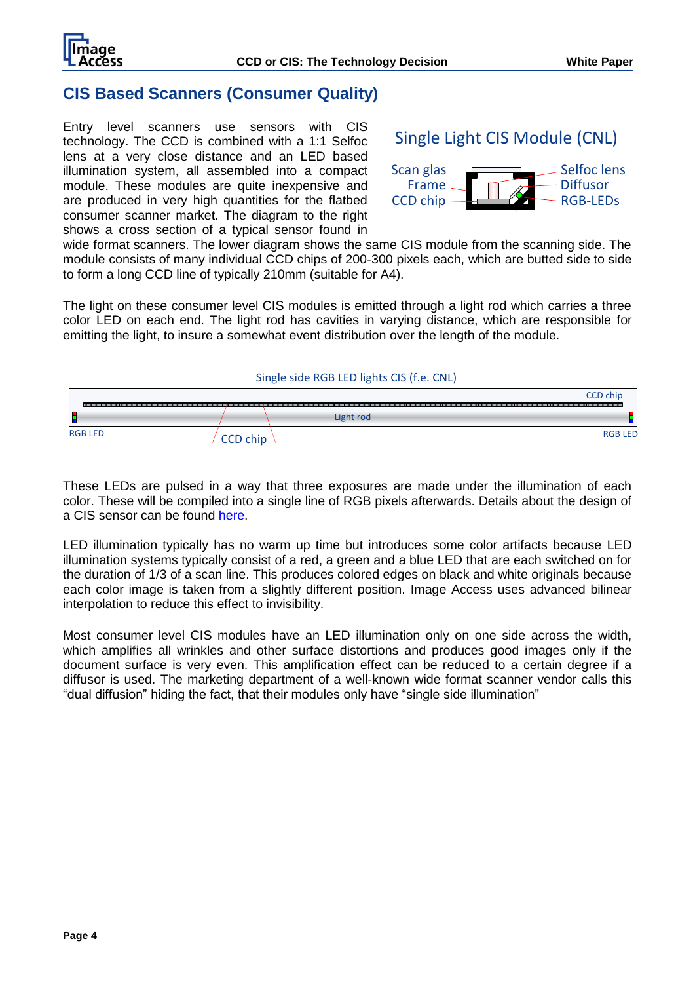

### **CIS Based Scanners (Consumer Quality)**

Entry level scanners use sensors with CIS technology. The CCD is combined with a 1:1 Selfoc lens at a very close distance and an LED based illumination system, all assembled into a compact module. These modules are quite inexpensive and are produced in very high quantities for the flatbed consumer scanner market. The diagram to the right shows a cross section of a typical sensor found in



wide format scanners. The lower diagram shows the same CIS module from the scanning side. The module consists of many individual CCD chips of 200-300 pixels each, which are butted side to side to form a long CCD line of typically 210mm (suitable for A4).

The light on these consumer level CIS modules is emitted through a light rod which carries a three color LED on each end. The light rod has cavities in varying distance, which are responsible for emitting the light, to insure a somewhat event distribution over the length of the module.

#### Single side RGB LED lights CIS (f.e. CNL)



These LEDs are pulsed in a way that three exposures are made under the illumination of each color. These will be compiled into a single line of RGB pixels afterwards. Details about the design of a CIS sensor can be found [here.](http://www.canon-compo.co.jp/e/technology/cis.html)

LED illumination typically has no warm up time but introduces some color artifacts because LED illumination systems typically consist of a red, a green and a blue LED that are each switched on for the duration of 1/3 of a scan line. This produces colored edges on black and white originals because each color image is taken from a slightly different position. Image Access uses advanced bilinear interpolation to reduce this effect to invisibility.

Most consumer level CIS modules have an LED illumination only on one side across the width, which amplifies all wrinkles and other surface distortions and produces good images only if the document surface is very even. This amplification effect can be reduced to a certain degree if a diffusor is used. The marketing department of a well-known wide format scanner vendor calls this "dual diffusion" hiding the fact, that their modules only have "single side illumination"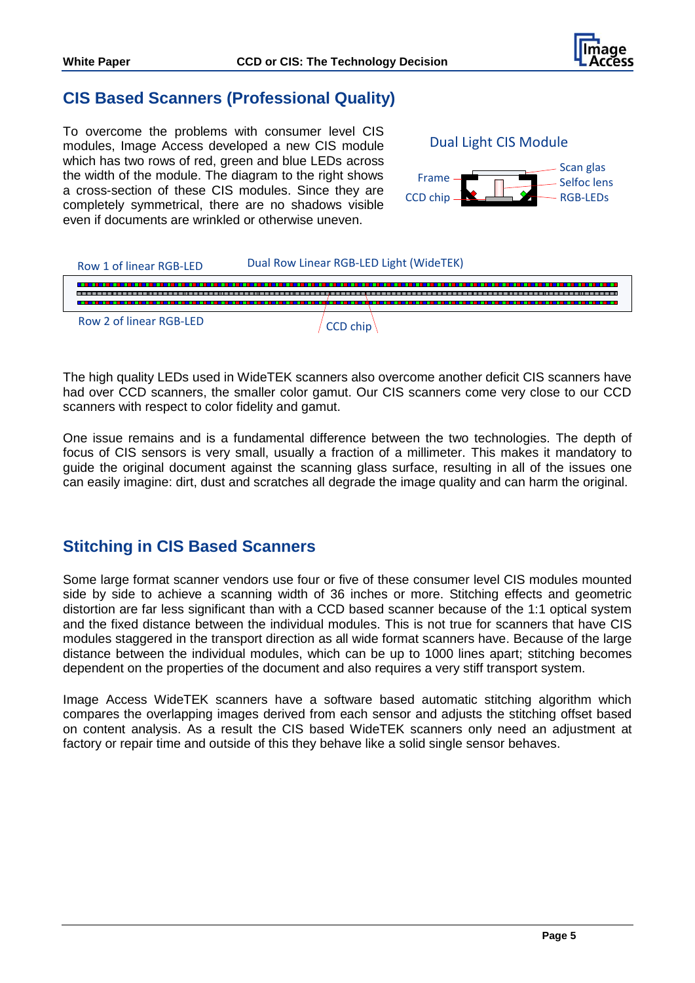

### **CIS Based Scanners (Professional Quality)**

To overcome the problems with consumer level CIS modules, Image Access developed a new CIS module which has two rows of red, green and blue LEDs across the width of the module. The diagram to the right shows a cross-section of these CIS modules. Since they are completely symmetrical, there are no shadows visible even if documents are wrinkled or otherwise uneven.



| Row 1 of linear RGB-LED | Dual Row Linear RGB-LED Light (WideTEK) |  |  |  |  |
|-------------------------|-----------------------------------------|--|--|--|--|
|                         |                                         |  |  |  |  |
| Row 2 of linear RGB-LFD |                                         |  |  |  |  |

The high quality LEDs used in WideTEK scanners also overcome another deficit CIS scanners have had over CCD scanners, the smaller color gamut. Our CIS scanners come very close to our CCD scanners with respect to color fidelity and gamut.

One issue remains and is a fundamental difference between the two technologies. The depth of focus of CIS sensors is very small, usually a fraction of a millimeter. This makes it mandatory to guide the original document against the scanning glass surface, resulting in all of the issues one can easily imagine: dirt, dust and scratches all degrade the image quality and can harm the original.

# **Stitching in CIS Based Scanners**

Some large format scanner vendors use four or five of these consumer level CIS modules mounted side by side to achieve a scanning width of 36 inches or more. Stitching effects and geometric distortion are far less significant than with a CCD based scanner because of the 1:1 optical system and the fixed distance between the individual modules. This is not true for scanners that have CIS modules staggered in the transport direction as all wide format scanners have. Because of the large distance between the individual modules, which can be up to 1000 lines apart; stitching becomes dependent on the properties of the document and also requires a very stiff transport system.

Image Access WideTEK scanners have a software based automatic stitching algorithm which compares the overlapping images derived from each sensor and adjusts the stitching offset based on content analysis. As a result the CIS based WideTEK scanners only need an adjustment at factory or repair time and outside of this they behave like a solid single sensor behaves.